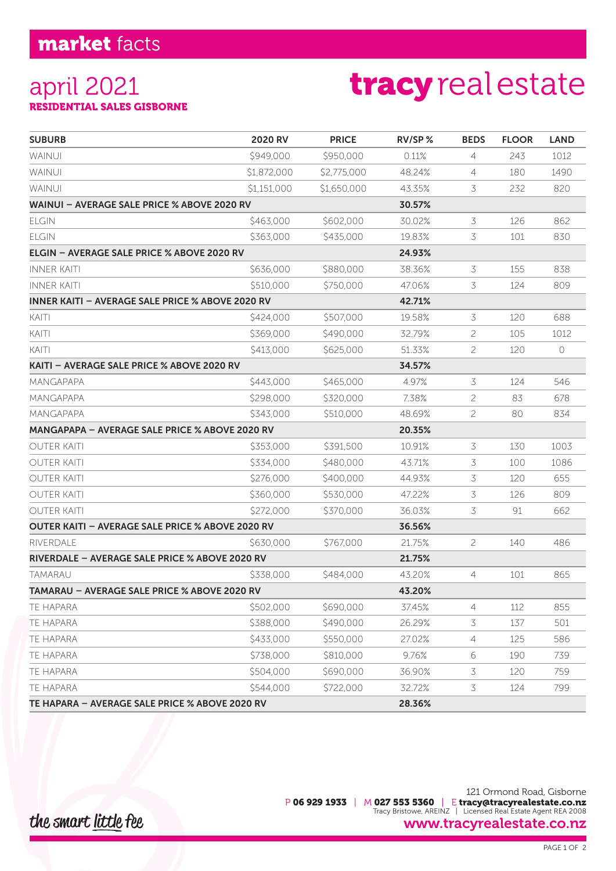## market facts

#### april 2021 RESIDENTIAL SALES GISBORNE

# tracy real estate

| <b>SUBURB</b>                                           | <b>2020 RV</b> | <b>PRICE</b> | $RV/SP$ % | <b>BEDS</b>    | <b>FLOOR</b> | <b>LAND</b> |
|---------------------------------------------------------|----------------|--------------|-----------|----------------|--------------|-------------|
| <b>WAINUI</b>                                           | \$949,000      | \$950,000    | 0.11%     | $\overline{4}$ | 243          | 1012        |
| WAINUI                                                  | \$1,872,000    | \$2,775,000  | 48.24%    | 4              | 180          | 1490        |
| <b>WAINUI</b>                                           | \$1,151,000    | \$1,650,000  | 43.35%    | 3              | 232          | 820         |
| WAINUI - AVERAGE SALE PRICE % ABOVE 2020 RV             |                |              | 30.57%    |                |              |             |
| <b>ELGIN</b>                                            | \$463,000      | \$602,000    | 30.02%    | $\mathcal{Z}$  | 126          | 862         |
| <b>ELGIN</b>                                            | \$363,000      | \$435,000    | 19.83%    | 3              | 101          | 830         |
| ELGIN - AVERAGE SALE PRICE % ABOVE 2020 RV              |                |              | 24.93%    |                |              |             |
| <b>INNER KAITI</b>                                      | \$636,000      | \$880,000    | 38.36%    | 3              | 155          | 838         |
| <b>INNER KAITI</b>                                      | \$510,000      | \$750,000    | 47.06%    | 3              | 124          | 809         |
| <b>INNER KAITI - AVERAGE SALE PRICE % ABOVE 2020 RV</b> |                |              | 42.71%    |                |              |             |
| KAITI                                                   | \$424,000      | \$507,000    | 19.58%    | 3              | 120          | 688         |
| KAITI                                                   | \$369,000      | \$490,000    | 32.79%    | 2              | 105          | 1012        |
| KAITI                                                   | \$413,000      | \$625,000    | 51.33%    | 2              | 120          | $\bigcirc$  |
| KAITI - AVERAGE SALE PRICE % ABOVE 2020 RV              |                |              | 34.57%    |                |              |             |
| MANGAPAPA                                               | \$443,000      | \$465,000    | 4.97%     | 3              | 124          | 546         |
| <b>MANGAPAPA</b>                                        | \$298,000      | \$320,000    | 7.38%     | 2              | 83           | 678         |
| MANGAPAPA                                               | \$343,000      | \$510,000    | 48.69%    | 2              | 80           | 834         |
| <b>MANGAPAPA - AVERAGE SALE PRICE % ABOVE 2020 RV</b>   | 20.35%         |              |           |                |              |             |
| <b>OUTER KAITI</b>                                      | \$353,000      | \$391,500    | 10.91%    | 3              | 130          | 1003        |
| <b>OUTER KAITI</b>                                      | \$334,000      | \$480,000    | 43.71%    | 3              | 100          | 1086        |
| <b>OUTER KAITI</b>                                      | \$276,000      | \$400,000    | 44.93%    | 3              | 120          | 655         |
| <b>OUTER KAITI</b>                                      | \$360,000      | \$530,000    | 47.22%    | 3              | 126          | 809         |
| <b>OUTER KAITI</b>                                      | \$272,000      | \$370,000    | 36.03%    | 3              | 91           | 662         |
| OUTER KAITI - AVERAGE SALE PRICE % ABOVE 2020 RV        |                |              | 36.56%    |                |              |             |
| RIVERDALE                                               | \$630,000      | \$767,000    | 21.75%    | 2              | 140          | 486         |
| RIVERDALE - AVERAGE SALE PRICE % ABOVE 2020 RV          |                |              | 21.75%    |                |              |             |
| TAMARAU                                                 | \$338,000      | \$484,000    | 43.20%    | 4              | 101          | 865         |
| TAMARAU - AVERAGE SALE PRICE % ABOVE 2020 RV            |                |              | 43.20%    |                |              |             |
| TE HAPARA                                               | \$502,000      | \$690,000    | 37.45%    | 4              | 112          | 855         |
| TE HAPARA                                               | \$388,000      | \$490,000    | 26.29%    | 3              | 137          | 501         |
| TE HAPARA                                               | \$433,000      | \$550,000    | 27.02%    | 4              | 125          | 586         |
| TE HAPARA                                               | \$738,000      | \$810,000    | 9.76%     | 6              | 190          | 739         |
| <b>TE HAPARA</b>                                        | \$504,000      | \$690,000    | 36.90%    | 3              | 120          | 759         |
| TE HAPARA                                               | \$544,000      | \$722,000    | 32.72%    | 3              | 124          | 799         |
| TE HAPARA - AVERAGE SALE PRICE % ABOVE 2020 RV          |                |              | 28.36%    |                |              |             |

### the smart little fee